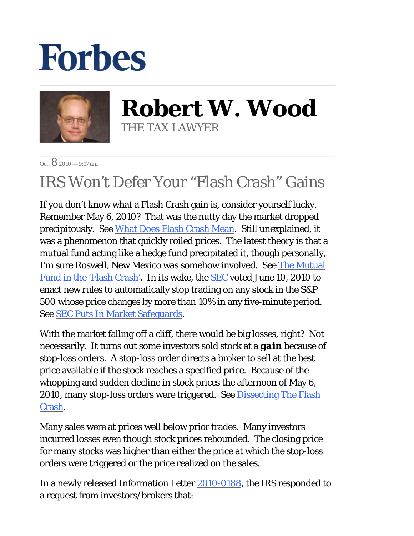## **Forbes**



**Robert W. Wood** THE TAX LAWYER

 $\Omega$ ct.  $\mathbf{8}$  2010 — 9:17 am

## IRS Won't Defer Your "Flash Crash" Gains

If you don't know what a Flash Crash gain is, consider yourself lucky. Remember May 6, 2010? That was the nutty day the market dropped precipitously. See What Does Flash Crash Mean. Still unexplained, it was a phenomenon that quickly roiled prices. The latest theory is that a mutual fund acting like a hedge fund precipitated it, though personally, I'm sure Roswell, New Mexico was somehow involved. See The Mutual Fund in the 'Flash Crash'. In its wake, the SEC voted June 10, 2010 to enact new rules to automatically stop trading on any stock in the S&P 500 whose price changes by more than 10% in any five-minute period. See SEC Puts In Market Safeguards.

With the market falling off a cliff, there would be big losses, right? Not necessarily. It turns out some investors sold stock at a *gain* because of stop-loss orders. A stop-loss order directs a broker to sell at the best price available if the stock reaches a specified price. Because of the whopping and sudden decline in stock prices the afternoon of May 6, 2010, many stop-loss orders were triggered. See Dissecting The Flash Crash.

Many sales were at prices well below prior trades. Many investors incurred losses even though stock prices rebounded. The closing price for many stocks was higher than either the price at which the stop-loss orders were triggered or the price realized on the sales.

In a newly released Information Letter 2010-0188, the IRS responded to a request from investors/brokers that: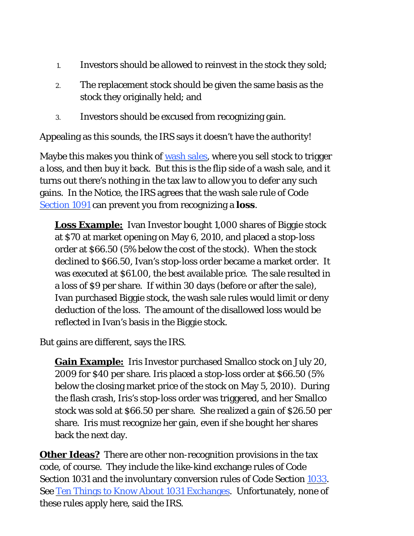- 1. Investors should be allowed to reinvest in the stock they sold;
- The replacement stock should be given the same basis as the stock they originally held; and 2.
- 3. Investors should be excused from recognizing gain.

Appealing as this sounds, the IRS says it doesn't have the authority!

Maybe this makes you think of wash sales, where you sell stock to trigger a loss, and then buy it back. But this is the flip side of a wash sale, and it turns out there's nothing in the tax law to allow you to defer any such gains. In the Notice, the IRS agrees that the wash sale rule of Code Section 1091 can prevent you from recognizing a *loss*.

**Loss Example:** Ivan Investor bought 1,000 shares of Biggie stock at \$70 at market opening on May 6, 2010, and placed a stop-loss order at \$66.50 (5% below the cost of the stock). When the stock declined to \$66.50, Ivan's stop-loss order became a market order. It was executed at \$61.00, the best available price. The sale resulted in a loss of \$9 per share. If within 30 days (before or after the sale), Ivan purchased Biggie stock, the wash sale rules would limit or deny deduction of the loss. The amount of the disallowed loss would be reflected in Ivan's basis in the Biggie stock.

But gains are different, says the IRS.

**Gain Example:** Iris Investor purchased Smallco stock on July 20, 2009 for \$40 per share. Iris placed a stop-loss order at \$66.50 (5% below the closing market price of the stock on May 5, 2010). During the flash crash, Iris's stop-loss order was triggered, and her Smallco stock was sold at \$66.50 per share. She realized a gain of \$26.50 per share. Iris must recognize her gain, even if she bought her shares back the next day.

**Other Ideas?** There are other non-recognition provisions in the tax code, of course. They include the like-kind exchange rules of Code Section 1031 and the involuntary conversion rules of Code Section 1033. See Ten Things to Know About 1031 Exchanges. Unfortunately, none of these rules apply here, said the IRS.